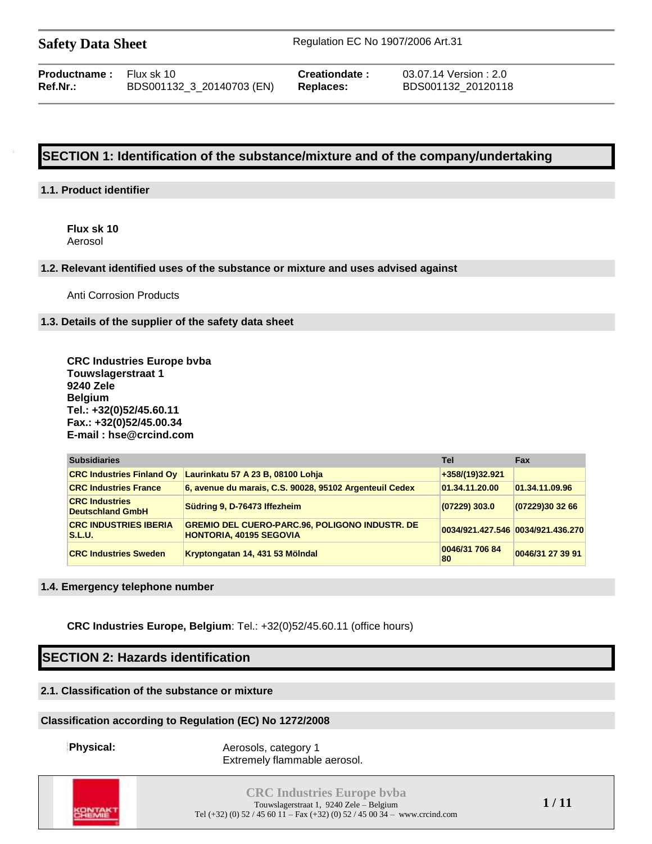| <b>Productname:</b> | Flux sk 10           |
|---------------------|----------------------|
| Ref.Nr.:            | BDS001132 3 20140703 |

**Creationdate :** 03.07.14 Version : 2.0 **Ref.Nr.:** BDS001132\_3\_20140703 (EN) **Replaces:** BDS001132\_20120118

# **SECTION 1: Identification of the substance/mixture and of the company/undertaking**

#### **1.1. Product identifier**

**Flux sk 10** Aerosol

#### **1.2. Relevant identified uses of the substance or mixture and uses advised against**

Anti Corrosion Products

#### **1.3. Details of the supplier of the safety data sheet**

**CRC Industries Europe bvba Touwslagerstraat 1 9240 Zele Belgium Tel.: +32(0)52/45.60.11 Fax.: +32(0)52/45.00.34 E-mail : hse@crcind.com**

| <b>Subsidiaries</b>                              |                                                                                         | Tel                  | <b>Fax</b>                        |
|--------------------------------------------------|-----------------------------------------------------------------------------------------|----------------------|-----------------------------------|
| <b>CRC Industries Finland Ov</b>                 | Laurinkatu 57 A 23 B, 08100 Lohja                                                       | +358/(19)32.921      |                                   |
| <b>CRC Industries France</b>                     | 6, avenue du marais, C.S. 90028, 95102 Argenteuil Cedex                                 | 01.34.11.20.00       | 01.34.11.09.96                    |
| <b>CRC Industries</b><br><b>Deutschland GmbH</b> | Südring 9, D-76473 Iffezheim                                                            | $(07229)$ 303.0      | (07229)30 32 66                   |
| <b>CRC INDUSTRIES IBERIA</b><br><b>S.L.U.</b>    | <b>GREMIO DEL CUERO-PARC.96, POLIGONO INDUSTR. DE</b><br><b>HONTORIA, 40195 SEGOVIA</b> |                      | 0034/921.427.546 0034/921.436.270 |
| <b>CRC Industries Sweden</b>                     | Kryptongatan 14, 431 53 Mölndal                                                         | 0046/31 706 84<br>80 | 0046/31 27 39 91                  |

#### **1.4. Emergency telephone number**

**CRC Industries Europe, Belgium**: Tel.: +32(0)52/45.60.11 (office hours)

# **SECTION 2: Hazards identification**

#### **2.1. Classification of the substance or mixture**

#### **Classification according to Regulation (EC) No 1272/2008**

**Physical:** Aerosols, category 1 Extremely flammable aerosol.

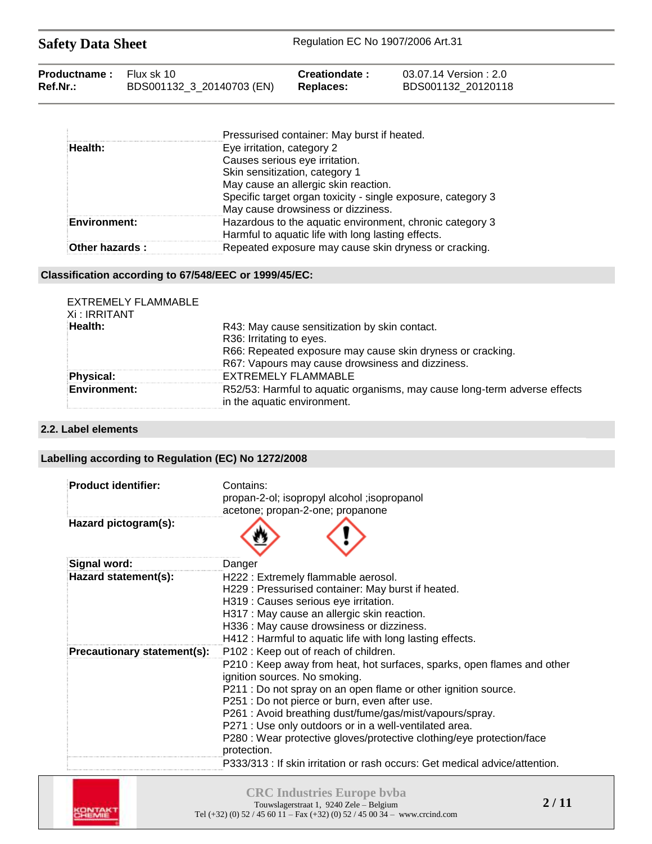| <b>Safety Data Sheet</b> |                           | Regulation EC No 1907/2006 Art.31 |                      |  |  |
|--------------------------|---------------------------|-----------------------------------|----------------------|--|--|
| Productname:             | Flux sk 10                | Creationdate:                     | 03.07.14 Version:2.0 |  |  |
| Ref.Nr.:                 | BDS001132_3_20140703 (EN) | <b>Replaces:</b>                  | BDS001132_20120118   |  |  |

|                     | Pressurised container: May burst if heated.                                                                    |
|---------------------|----------------------------------------------------------------------------------------------------------------|
| Health:             | Eye irritation, category 2                                                                                     |
|                     | Causes serious eye irritation.                                                                                 |
|                     | Skin sensitization, category 1                                                                                 |
|                     | May cause an allergic skin reaction.                                                                           |
|                     | Specific target organ toxicity - single exposure, category 3                                                   |
|                     | May cause drowsiness or dizziness.                                                                             |
| <b>Environment:</b> | Hazardous to the aquatic environment, chronic category 3<br>Harmful to aquatic life with long lasting effects. |
| Other hazards:      | Repeated exposure may cause skin dryness or cracking.                                                          |

## **Classification according to 67/548/EEC or 1999/45/EC:**

| EXTREMELY FLAMMABLE<br>Xi : IRRITANT |                                                                                                          |
|--------------------------------------|----------------------------------------------------------------------------------------------------------|
| Health:                              | R43: May cause sensitization by skin contact.                                                            |
|                                      | R36: Irritating to eyes.                                                                                 |
|                                      | R66: Repeated exposure may cause skin dryness or cracking.                                               |
|                                      | R67: Vapours may cause drowsiness and dizziness.                                                         |
| Physical:                            | EXTREMELY FLAMMABLE                                                                                      |
| <b>Environment:</b>                  | R52/53: Harmful to aquatic organisms, may cause long-term adverse effects<br>in the aquatic environment. |

#### **2.2. Label elements**

# **Labelling according to Regulation (EC) No 1272/2008**

| <b>Product identifier:</b>  | Contains:<br>propan-2-ol; isopropyl alcohol ; isopropanol<br>acetone; propan-2-one; propanone                                                                                                                                                                                                                                                                                                                                                                                                                            |
|-----------------------------|--------------------------------------------------------------------------------------------------------------------------------------------------------------------------------------------------------------------------------------------------------------------------------------------------------------------------------------------------------------------------------------------------------------------------------------------------------------------------------------------------------------------------|
| Hazard pictogram(s):        |                                                                                                                                                                                                                                                                                                                                                                                                                                                                                                                          |
| Signal word:                | Danger                                                                                                                                                                                                                                                                                                                                                                                                                                                                                                                   |
| Hazard statement(s):        | H222: Extremely flammable aerosol.<br>H229: Pressurised container: May burst if heated.<br>H319 : Causes serious eye irritation.<br>H317 : May cause an allergic skin reaction.<br>H336 : May cause drowsiness or dizziness.<br>H412 : Harmful to aquatic life with long lasting effects.                                                                                                                                                                                                                                |
| Precautionary statement(s): | P102: Keep out of reach of children.                                                                                                                                                                                                                                                                                                                                                                                                                                                                                     |
|                             | P210 : Keep away from heat, hot surfaces, sparks, open flames and other<br>ignition sources. No smoking.<br>P211 : Do not spray on an open flame or other ignition source.<br>P251 : Do not pierce or burn, even after use.<br>P261 : Avoid breathing dust/fume/gas/mist/vapours/spray.<br>P271 : Use only outdoors or in a well-ventilated area.<br>P280 : Wear protective gloves/protective clothing/eye protection/face<br>protection.<br>P333/313 : If skin irritation or rash occurs: Get medical advice/attention. |

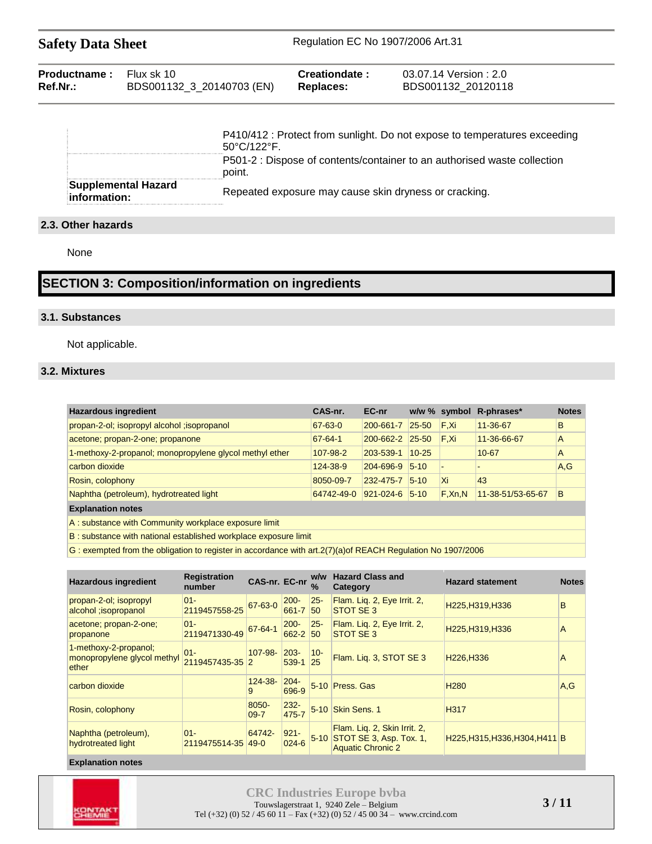| <b>Safety Data Sheet</b> | Regulation EC No 1907/2006 Art.31 |  |
|--------------------------|-----------------------------------|--|
|--------------------------|-----------------------------------|--|

| <b>Productname:</b> Flux sk 10 |                           | <b>Creationdate :</b> | 03.07.14 Version : 2.0 |
|--------------------------------|---------------------------|-----------------------|------------------------|
| <b>Ref.Nr.:</b>                | BDS001132_3_20140703 (EN) | <b>Replaces:</b>      | BDS001132 20120118     |

|                                     | P410/412 : Protect from sunlight. Do not expose to temperatures exceeding<br>$50^{\circ}$ C/122 $^{\circ}$ F. |
|-------------------------------------|---------------------------------------------------------------------------------------------------------------|
|                                     | P501-2 : Dispose of contents/container to an authorised waste collection<br>point.                            |
| Supplemental Hazard<br>information: | Repeated exposure may cause skin dryness or cracking.                                                         |

### **2.3. Other hazards**

None

# **SECTION 3: Composition/information on ingredients**

### **3.1. Substances**

Not applicable.

## **3.2. Mixtures**

| <b>Hazardous ingredient</b>                                     | CAS-nr.       | EC-nr                |            | w/w % symbol | R-phrases*        | <b>Notes</b> |
|-----------------------------------------------------------------|---------------|----------------------|------------|--------------|-------------------|--------------|
| propan-2-ol; isopropyl alcohol ; isopropanol                    | 67-63-0       | 200-661-7            | 25-50      | F.Xi         | 11-36-67          | B            |
| acetone; propan-2-one; propanone                                | $67 - 64 - 1$ | 200-662-2            | $25 - 50$  | F.Xi         | 11-36-66-67       | A            |
| 1-methoxy-2-propanol; monopropylene glycol methyl ether         | 107-98-2      | 203-539-1            | $10 - 25$  |              | $10 - 67$         | A            |
| carbon dioxide                                                  | 124-38-9      | 204-696-9            | $5 - 10$   |              |                   | A, G         |
| Rosin, colophony                                                | 8050-09-7     | 232-475-7            | $ 5 - 10 $ | ΙXi          | 43                |              |
| Naphtha (petroleum), hydrotreated light                         | 64742-49-0    | $921 - 024 - 6$ 5-10 |            | $F$ , Xn, N  | 11-38-51/53-65-67 | B            |
| <b>Explanation notes</b>                                        |               |                      |            |              |                   |              |
| A: substance with Community workplace exposure limit            |               |                      |            |              |                   |              |
| B: substance with national established workplace exposure limit |               |                      |            |              |                   |              |

G : exempted from the obligation to register in accordance with art.2(7)(a)of REACH Regulation No 1907/2006

| <b>Hazardous ingredient</b>                                   | <b>Registration</b><br>number | CAS-nr. EC-nr     |                      | w/w<br>$\frac{9}{6}$ | <b>Hazard Class and</b><br>Category                                                 | <b>Hazard statement</b>             | <b>Notes</b> |
|---------------------------------------------------------------|-------------------------------|-------------------|----------------------|----------------------|-------------------------------------------------------------------------------------|-------------------------------------|--------------|
| propan-2-ol; isopropyl<br>alcohol ; isopropanol               | $01 -$<br>2119457558-25       | 67-63-0           | $200 -$<br>661-7     | $25 -$<br>50         | Flam. Lig. 2, Eye Irrit. 2,<br>STOT SE 3                                            | H225.H319.H336                      | B            |
| acetone; propan-2-one;<br>propanone                           | $01 -$<br>2119471330-49       | $67 - 64 - 1$     | $200 -$<br>662-2 50  | $25 -$               | Flam. Lig. 2, Eye Irrit. 2,<br>STOT SE 3                                            | H225, H319, H336                    | A            |
| 1-methoxy-2-propanol;<br>monopropylene glycol methyl<br>ether | $01 -$<br>2119457435-35 2     | $107 - 98 -$      | $203 -$<br>539-1     | $10 -$<br>25         | Flam. Liq. 3, STOT SE 3                                                             | H <sub>226</sub> , H <sub>336</sub> | A            |
| carbon dioxide                                                |                               | $124 - 38 -$<br>9 | $204 -$<br>696-9     |                      | 5-10 Press, Gas                                                                     | H <sub>280</sub>                    | A.G          |
| Rosin, colophony                                              |                               | 8050-<br>$09 - 7$ | $232 -$<br>475-7     | $5-10$               | Skin Sens. 1                                                                        | H317                                |              |
| Naphtha (petroleum),<br>hydrotreated light                    | $01 -$<br>2119475514-35 49-0  | 64742-            | $921 -$<br>$024 - 6$ | $5-10$               | Flam. Lig. 2, Skin Irrit. 2,<br>STOT SE 3, Asp. Tox. 1,<br><b>Aquatic Chronic 2</b> | H225, H315, H336, H304, H411 B      |              |

#### **Explanation notes**

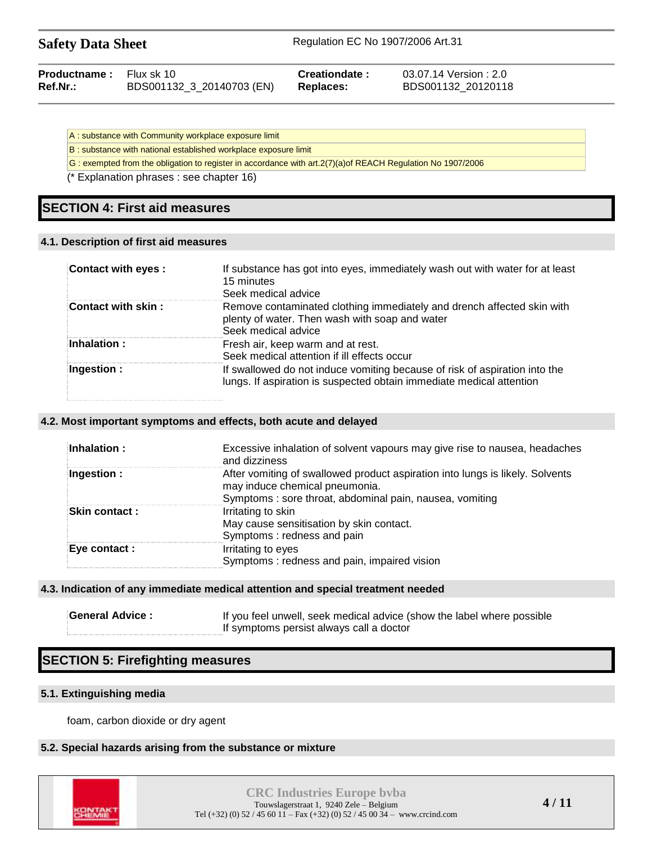| <b>Safety Data Sheet</b> |  |  |
|--------------------------|--|--|
|--------------------------|--|--|

| Productname : | Flux sk 10                | Creationdate: | 03.07.14       |
|---------------|---------------------------|---------------|----------------|
| Ref.Nr.:      | BDS001132_3_20140703 (EN) | Replaces:     | <b>BDS0011</b> |

**Version: 2.0 Ref.Nr.:** BDS001132\_3\_20140703 (EN) **Replaces:** BDS001132\_20120118

A : substance with Community workplace exposure limit

B : substance with national established workplace exposure limit

G : exempted from the obligation to register in accordance with art.2(7)(a)of REACH Regulation No 1907/2006

(\* Explanation phrases : see chapter 16)

# **SECTION 4: First aid measures**

#### **4.1. Description of first aid measures**

| Contact with eyes: | If substance has got into eyes, immediately wash out with water for at least<br>15 minutes<br>Seek medical advice                                  |
|--------------------|----------------------------------------------------------------------------------------------------------------------------------------------------|
| Contact with skin: | Remove contaminated clothing immediately and drench affected skin with<br>plenty of water. Then wash with soap and water<br>Seek medical advice    |
| Inhalation:        | Fresh air, keep warm and at rest.<br>Seek medical attention if ill effects occur                                                                   |
| Ingestion :        | If swallowed do not induce vomiting because of risk of aspiration into the<br>lungs. If aspiration is suspected obtain immediate medical attention |

#### **4.2. Most important symptoms and effects, both acute and delayed**

| Inhalation:          | Excessive inhalation of solvent vapours may give rise to nausea, headaches<br>and dizziness                                                                                 |
|----------------------|-----------------------------------------------------------------------------------------------------------------------------------------------------------------------------|
| Ingestion :          | After vomiting of swallowed product aspiration into lungs is likely. Solvents<br>may induce chemical pneumonia.<br>Symptoms : sore throat, abdominal pain, nausea, vomiting |
| <b>Skin contact:</b> | Irritating to skin<br>May cause sensitisation by skin contact.<br>Symptoms: redness and pain                                                                                |
| Eye contact :        | Irritating to eyes<br>Symptoms: redness and pain, impaired vision                                                                                                           |

#### **4.3. Indication of any immediate medical attention and special treatment needed**

| <b>General Advice:</b> | If you feel unwell, seek medical advice (show the label where possible |
|------------------------|------------------------------------------------------------------------|
|                        | If symptoms persist always call a doctor                               |

# **SECTION 5: Firefighting measures**

#### **5.1. Extinguishing media**

foam, carbon dioxide or dry agent

#### **5.2. Special hazards arising from the substance or mixture**

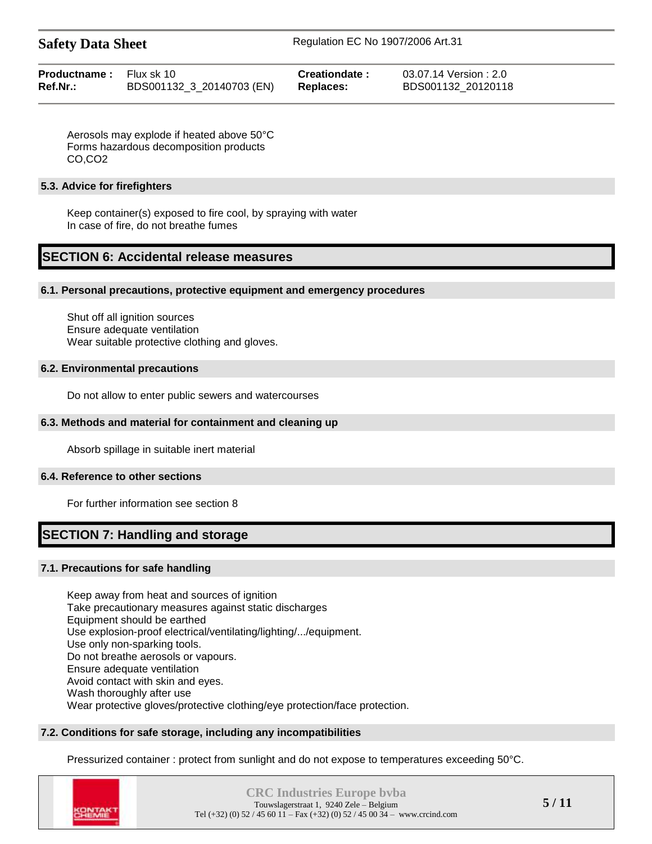| <b>Safety Data Sheet</b> |
|--------------------------|
|--------------------------|

| <b>Productname:</b> Flux sk 10 |                           | Creationdate: | 03.07.14 Version : 2.0 |
|--------------------------------|---------------------------|---------------|------------------------|
| Ref.Nr.:                       | BDS001132_3_20140703 (EN) | Replaces:     | BDS001132 20120118     |

Aerosols may explode if heated above 50°C Forms hazardous decomposition products CO,CO2

#### **5.3. Advice for firefighters**

Keep container(s) exposed to fire cool, by spraying with water In case of fire, do not breathe fumes

# **SECTION 6: Accidental release measures**

#### **6.1. Personal precautions, protective equipment and emergency procedures**

Shut off all ignition sources Ensure adequate ventilation Wear suitable protective clothing and gloves.

#### **6.2. Environmental precautions**

Do not allow to enter public sewers and watercourses

#### **6.3. Methods and material for containment and cleaning up**

Absorb spillage in suitable inert material

#### **6.4. Reference to other sections**

For further information see section 8

# **SECTION 7: Handling and storage**

### **7.1. Precautions for safe handling**

Keep away from heat and sources of ignition Take precautionary measures against static discharges Equipment should be earthed Use explosion-proof electrical/ventilating/lighting/.../equipment. Use only non-sparking tools. Do not breathe aerosols or vapours. Ensure adequate ventilation Avoid contact with skin and eyes. Wash thoroughly after use Wear protective gloves/protective clothing/eye protection/face protection.

# **7.2. Conditions for safe storage, including any incompatibilities**

Pressurized container : protect from sunlight and do not expose to temperatures exceeding 50°C.

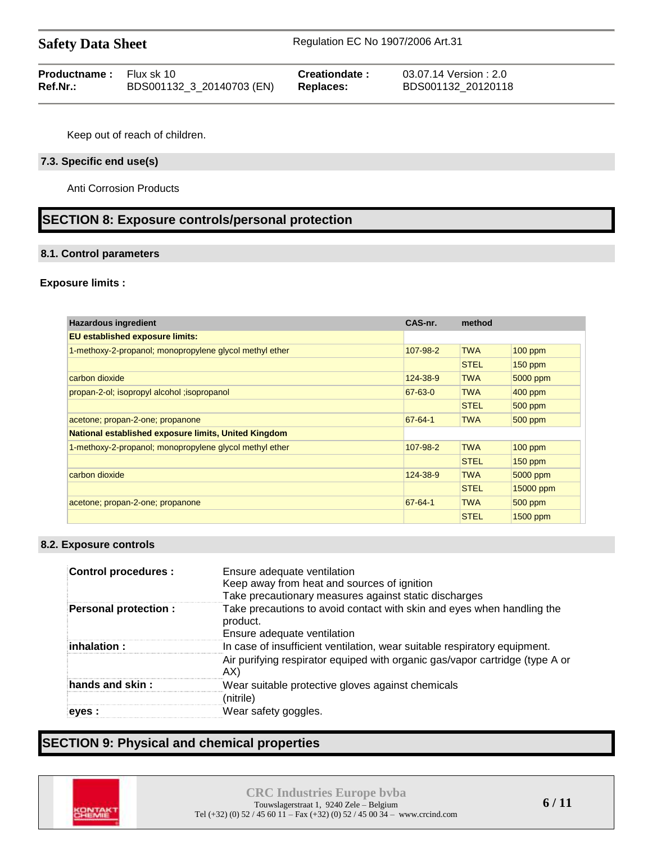| <b>Productname:</b> Flux sk 10 |                           | Creationdate:    | 03.07.14 Version : 2.0 |
|--------------------------------|---------------------------|------------------|------------------------|
| Ref.Nr.:                       | BDS001132_3_20140703 (EN) | <b>Replaces:</b> | BDS001132 20120118     |

Keep out of reach of children.

#### **7.3. Specific end use(s)**

Anti Corrosion Products

# **SECTION 8: Exposure controls/personal protection**

#### **8.1. Control parameters**

#### **Exposure limits :**

| <b>Hazardous ingredient</b>                                 | CAS-nr.       | method      |           |
|-------------------------------------------------------------|---------------|-------------|-----------|
| EU established exposure limits:                             |               |             |           |
| 1-methoxy-2-propanol; monopropylene glycol methyl ether     | 107-98-2      | <b>TWA</b>  | $100$ ppm |
|                                                             |               | <b>STEL</b> | $150$ ppm |
| carbon dioxide                                              | 124-38-9      | <b>TWA</b>  | 5000 ppm  |
| propan-2-ol; isopropyl alcohol ; isopropanol                | $67 - 63 - 0$ | <b>TWA</b>  | $400$ ppm |
|                                                             |               | <b>STEL</b> | $500$ ppm |
| acetone; propan-2-one; propanone                            | $67 - 64 - 1$ | <b>TWA</b>  | $500$ ppm |
| <b>National established exposure limits, United Kingdom</b> |               |             |           |
| 1-methoxy-2-propanol; monopropylene glycol methyl ether     | 107-98-2      | <b>TWA</b>  | $100$ ppm |
|                                                             |               | <b>STEL</b> | $150$ ppm |
| carbon dioxide                                              | 124-38-9      | <b>TWA</b>  | 5000 ppm  |
|                                                             |               | <b>STEL</b> | 15000 ppm |
| acetone; propan-2-one; propanone                            | $67 - 64 - 1$ | <b>TWA</b>  | $500$ ppm |
|                                                             |               | <b>STEL</b> | 1500 ppm  |

#### **8.2. Exposure controls**

| <b>Control procedures:</b>  | Ensure adequate ventilation<br>Keep away from heat and sources of ignition<br>Take precautionary measures against static discharges                              |
|-----------------------------|------------------------------------------------------------------------------------------------------------------------------------------------------------------|
| <b>Personal protection:</b> | Take precautions to avoid contact with skin and eyes when handling the<br>product.<br>Ensure adequate ventilation                                                |
| inhalation:                 | In case of insufficient ventilation, wear suitable respiratory equipment.<br>Air purifying respirator equiped with organic gas/vapor cartridge (type A or<br>AX) |
| hands and skin :            | Wear suitable protective gloves against chemicals<br>(nitrile)                                                                                                   |
| eves :                      | Wear safety goggles.                                                                                                                                             |

# **SECTION 9: Physical and chemical properties**

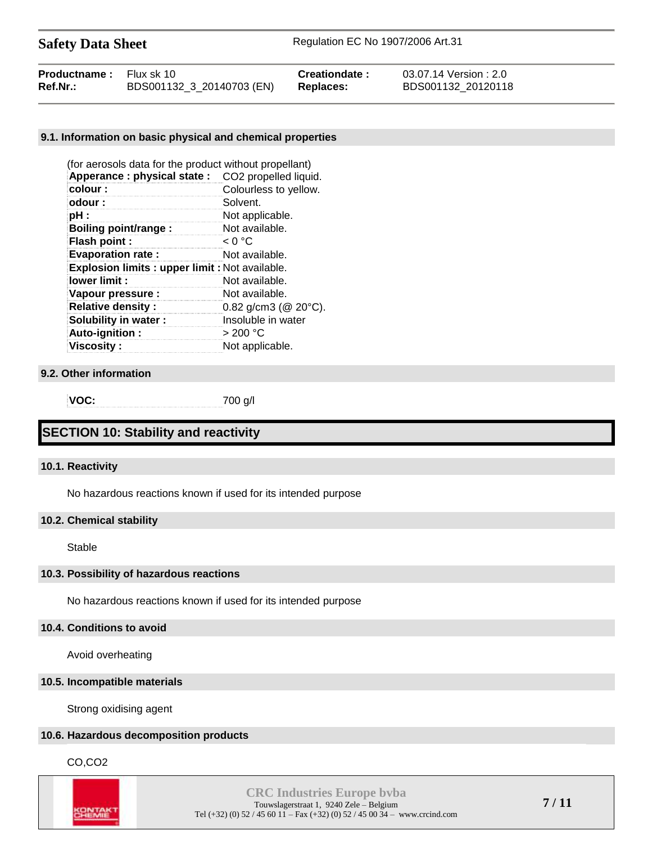| <b>Productname:</b> Flux sk 10 |                           | Creationdate: | 03.07.14 Version : 2.0 |
|--------------------------------|---------------------------|---------------|------------------------|
| Ref.Nr.:                       | BDS001132_3_20140703 (EN) | Replaces:     | BDS001132 20120118     |

#### **9.1. Information on basic physical and chemical properties**

| (for aerosols data for the product without propellant) |                                   |
|--------------------------------------------------------|-----------------------------------|
| Apperance: physical state:                             | CO <sub>2</sub> propelled liquid. |
| colour:                                                | Colourless to yellow.             |
| odour:                                                 | Solvent.                          |
| pH :                                                   | Not applicable.                   |
| <b>Boiling point/range:</b>                            | Not available.                    |
| Flash point :                                          | < 0 °C                            |
| <b>Evaporation rate:</b><br>Not available.             |                                   |
| Explosion limits : upper limit : Not available.        |                                   |
| lower limit:                                           | Not available.                    |
| Vapour pressure :                                      | Not available.                    |
| <b>Relative density:</b>                               | 0.82 $q/cm3$ ( $@20°C$ ).         |
| <b>Solubility in water:</b>                            | Insoluble in water                |
| Auto-ignition:                                         | $>$ 200 °C                        |
| <b>Viscosity:</b>                                      | Not applicable.                   |

#### **9.2. Other information**

**VOC:** 700 g/l

# **SECTION 10: Stability and reactivity**

#### **10.1. Reactivity**

No hazardous reactions known if used for its intended purpose

#### **10.2. Chemical stability**

Stable

#### **10.3. Possibility of hazardous reactions**

No hazardous reactions known if used for its intended purpose

#### **10.4. Conditions to avoid**

Avoid overheating

#### **10.5. Incompatible materials**

Strong oxidising agent

#### **10.6. Hazardous decomposition products**

CO,CO2

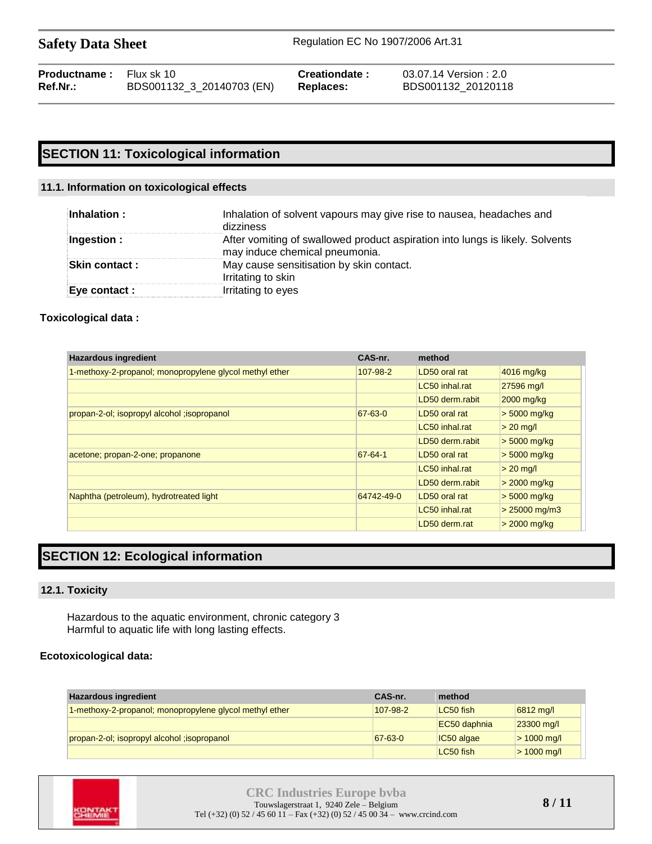| <b>Productname:</b> Flux sk 10 |                           | <b>Creationdate:</b> | 03.07.14 Version:2.0 |
|--------------------------------|---------------------------|----------------------|----------------------|
| Ref.Nr.:                       | BDS001132_3_20140703 (EN) | Replaces:            | BDS001132 20120118   |

# **SECTION 11: Toxicological information**

#### **11.1. Information on toxicological effects**

| Inhalation :   | Inhalation of solvent vapours may give rise to nausea, headaches and<br>dizziness                               |
|----------------|-----------------------------------------------------------------------------------------------------------------|
| Ingestion :    | After vomiting of swallowed product aspiration into lungs is likely. Solvents<br>may induce chemical pneumonia. |
| Skin contact : | May cause sensitisation by skin contact.<br>Irritating to skin                                                  |
| Eye contact :  | Irritating to eyes                                                                                              |

#### **Toxicological data :**

| <b>Hazardous ingredient</b>                             | CAS-nr.    | method          |                 |
|---------------------------------------------------------|------------|-----------------|-----------------|
| 1-methoxy-2-propanol; monopropylene glycol methyl ether | 107-98-2   | LD50 oral rat   | 4016 mg/kg      |
|                                                         |            | LC50 inhal.rat  | 27596 mg/l      |
|                                                         |            | LD50 derm.rabit | 2000 mg/kg      |
| propan-2-ol; isopropyl alcohol ; isopropanol            | 67-63-0    | LD50 oral rat   | $> 5000$ mg/kg  |
|                                                         |            | LC50 inhal.rat  | $> 20$ mg/l     |
|                                                         |            | LD50 derm.rabit | $>$ 5000 mg/kg  |
| acetone; propan-2-one; propanone                        | 67-64-1    | LD50 oral rat   | $> 5000$ mg/kg  |
|                                                         |            | LC50 inhal.rat  | $> 20$ mg/l     |
|                                                         |            | LD50 derm.rabit | $>$ 2000 mg/kg  |
| Naphtha (petroleum), hydrotreated light                 | 64742-49-0 | LD50 oral rat   | $> 5000$ mg/kg  |
|                                                         |            | LC50 inhal.rat  | $> 25000$ mg/m3 |
|                                                         |            | LD50 derm.rat   | $>$ 2000 mg/kg  |

# **SECTION 12: Ecological information**

#### **12.1. Toxicity**

Hazardous to the aquatic environment, chronic category 3 Harmful to aquatic life with long lasting effects.

### **Ecotoxicological data:**

| <b>Hazardous ingredient</b>                             | CAS-nr.       | method       |                          |
|---------------------------------------------------------|---------------|--------------|--------------------------|
| 1-methoxy-2-propanol; monopropylene glycol methyl ether | 107-98-2      | LC50 fish    | 6812 mg/l                |
|                                                         |               | EC50 daphnia | $ 23300 \text{ mg}$      |
| propan-2-ol; isopropyl alcohol ; isopropanol            | $67 - 63 - 0$ | IC50 algae   | $> 1000 \,\mathrm{mq/l}$ |
|                                                         |               | LC50 fish    | $> 1000 \,\mathrm{mq/l}$ |

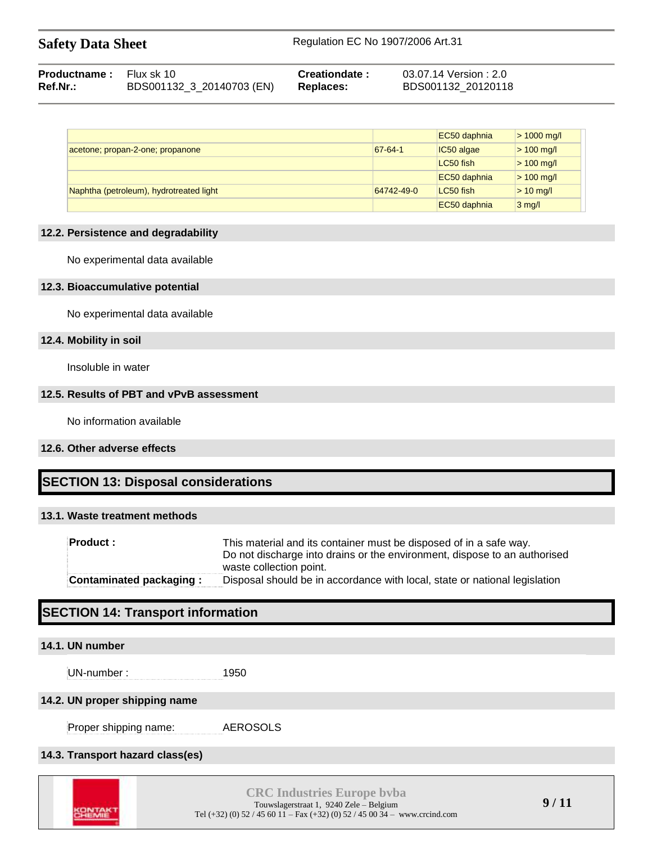| <b>Safety Data Sheet</b> | Regulation EC No 1907/2006 Art.31 |
|--------------------------|-----------------------------------|
|                          |                                   |

| <b>Productname:</b> Flux sk 10 |                           | Creationdate: | 03.07.14 Version:2.0 |
|--------------------------------|---------------------------|---------------|----------------------|
| Ref.Nr.:                       | BDS001132_3_20140703 (EN) | Replaces:     | BDS001132 20120118   |

|                                         |            | EC50 daphnia | $> 1000$ mg/l |
|-----------------------------------------|------------|--------------|---------------|
| acetone; propan-2-one; propanone        | 67-64-1    | $IC50$ algae | $> 100$ mg/l  |
|                                         |            | LC50 fish    | $> 100$ mg/l  |
|                                         |            | EC50 daphnia | $> 100$ mg/l  |
| Naphtha (petroleum), hydrotreated light | 64742-49-0 | LC50 fish    | $> 10$ mg/l   |
|                                         |            | EC50 daphnia | $3$ mg/l      |

# **12.2. Persistence and degradability**

No experimental data available

## **12.3. Bioaccumulative potential**

No experimental data available

# **12.4. Mobility in soil**

Insoluble in water

# **12.5. Results of PBT and vPvB assessment**

No information available

# **12.6. Other adverse effects**

# **SECTION 13: Disposal considerations**

# **13.1. Waste treatment methods**

| Product :                      | This material and its container must be disposed of in a safe way.<br>Do not discharge into drains or the environment, dispose to an authorised<br>waste collection point. |
|--------------------------------|----------------------------------------------------------------------------------------------------------------------------------------------------------------------------|
| <b>Contaminated packaging:</b> | Disposal should be in accordance with local, state or national legislation                                                                                                 |

# **SECTION 14: Transport information**

# **14.1. UN number**

UN-number : 1950

# **14.2. UN proper shipping name**

Proper shipping name: AEROSOLS

# **14.3. Transport hazard class(es)**

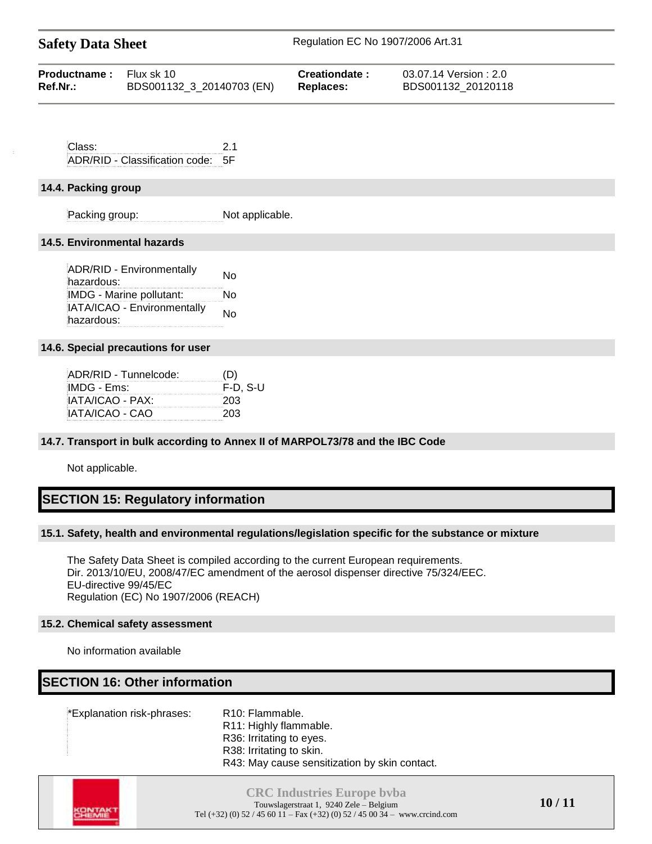| <b>Safety Data Sheet</b> | Regulation EC No 1907/2006 Art.31 |
|--------------------------|-----------------------------------|
|                          |                                   |

| <b>Productname:</b> Flux sk 10 | BDS001132_3_20140703 (EN) | Creationdate:    | 03.07.14 Version : 2.0 |
|--------------------------------|---------------------------|------------------|------------------------|
| <b>Ref.Nr.:</b>                |                           | <b>Replaces:</b> | BDS001132 20120118     |
|                                |                           |                  |                        |

Class: 2.1 ADR/RID - Classification code: 5F

# **14.4. Packing group**

Packing group: Not applicable.

# **14.5. Environmental hazards**

ADR/RID - Environmentally ADR/RID - Environmentally Mo<br>hazardous: IMDG - Marine pollutant: No IATA/ICAO - Environmentally No<br>hazardous:

# **14.6. Special precautions for user**

| ADR/RID - Tunnelcode: | (D)         |
|-----------------------|-------------|
| IMDG - Ems:           | $F-D$ , S-U |
| IATA/ICAO - PAX:      | 203         |
| IATA/ICAO - CAO       | 203         |
|                       |             |

# **14.7. Transport in bulk according to Annex II of MARPOL73/78 and the IBC Code**

Not applicable.

# **SECTION 15: Regulatory information**

# **15.1. Safety, health and environmental regulations/legislation specific for the substance or mixture**

The Safety Data Sheet is compiled according to the current European requirements. Dir. 2013/10/EU, 2008/47/EC amendment of the aerosol dispenser directive 75/324/EEC. EU-directive 99/45/EC Regulation (EC) No 1907/2006 (REACH)

# **15.2. Chemical safety assessment**

No information available

# **SECTION 16: Other information**

\*Explanation risk-phrases: R10: Flammable.

R11: Highly flammable.

R36: Irritating to eyes. R38: Irritating to skin.

R43: May cause sensitization by skin contact.